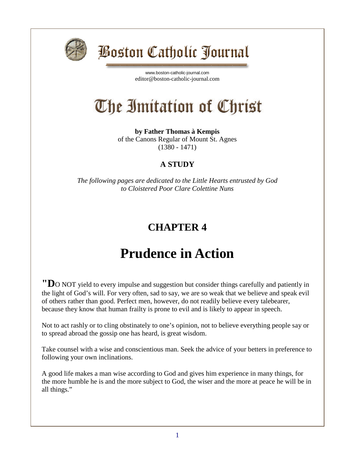

# *Poston Catholic Journal*

[www.boston-catholic-journal.com](http://www.boston-catholic-journal.com/) editor@boston-catholic-journal.com

# The Imitation of Christ

**by Father Thomas à Kempis** of the Canons Regular of Mount St. Agnes (1380 - 1471)

#### **A STUDY**

*The following pages are dedicated to the Little Hearts entrusted by God to Cloistered Poor Clare Colettine Nuns*

### **CHAPTER 4**

## **Prudence in Action**

**"D**O NOT yield to every impulse and suggestion but consider things carefully and patiently in the light of God's will. For very often, sad to say, we are so weak that we believe and speak evil of others rather than good. Perfect men, however, do not readily believe every talebearer, because they know that human frailty is prone to evil and is likely to appear in speech.

Not to act rashly or to cling obstinately to one's opinion, not to believe everything people say or to spread abroad the gossip one has heard, is great wisdom.

Take counsel with a wise and conscientious man. Seek the advice of your betters in preference to following your own inclinations.

A good life makes a man wise according to God and gives him experience in many things, for the more humble he is and the more subject to God, the wiser and the more at peace he will be in all things."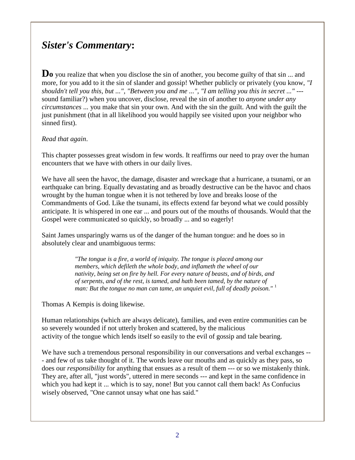### *Sister's Commentary***:**

**Do** you realize that when you disclose the sin of another, you become guilty of that sin ... and more, for you add to it the sin of slander and gossip! Whether publicly or privately (you know, *"I shouldn't tell you this, but ...", "Between you and me ...", "I am telling you this in secret ..."* -- sound familiar?) when you uncover, disclose, reveal the sin of another to *anyone under any circumstances* ... you make that sin your own. And with the sin the guilt. And with the guilt the just punishment (that in all likelihood you would happily see visited upon your neighbor who sinned first).

#### *Read that again*.

This chapter possesses great wisdom in few words. It reaffirms our need to pray over the human encounters that we have with others in our daily lives.

We have all seen the havoc, the damage, disaster and wreckage that a hurricane, a tsunami, or an earthquake can bring. Equally devastating and as broadly destructive can be the havoc and chaos wrought by the human tongue when it is not tethered by love and breaks loose of the Commandments of God. Like the tsunami, its effects extend far beyond what we could possibly anticipate. It is whispered in one ear ... and pours out of the mouths of thousands. Would that the Gospel were communicated so quickly, so broadly ... and so eagerly!

Saint James unsparingly warns us of the danger of the human tongue: and he does so in absolutely clear and unambiguous terms:

> *"The tongue is a fire, a world of iniquity. The tongue is placed among our members, which defileth the whole body, and inflameth the wheel of our nativity, being set on fire by hell. For every nature of beasts, and of birds, and of serpents, and of the rest, is tamed, and hath been tamed, by the nature of man: But the tongue no man can tame, an unquiet evil, full of deadly poison."* <sup>1</sup>

Thomas A Kempis is doing likewise.

Human relationships (which are always delicate), families, and even entire communities can be so severely wounded if not utterly broken and scattered, by the malicious activity of the tongue which lends itself so easily to the evil of gossip and tale bearing.

We have such a tremendous personal responsibility in our conversations and verbal exchanges --- and few of us take thought of it. The words leave our mouths and as quickly as they pass, so does our *responsibility* for anything that ensues as a result of them --- or so we mistakenly think. They are, after all, "just words", uttered in mere seconds --- and kept in the same confidence in which you had kept it ... which is to say, none! But you cannot call them back! As Confucius wisely observed, "One cannot unsay what one has said."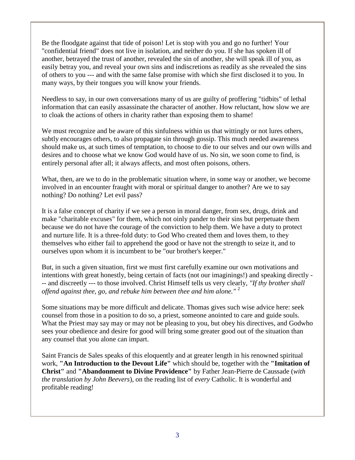Be the floodgate against that tide of poison! Let is stop with you and go no further! Your "confidential friend" does not live in isolation, and neither do you. If she has spoken ill of another, betrayed the trust of another, revealed the sin of another, she will speak ill of you, as easily betray you, and reveal your own sins and indiscretions as readily as she revealed the sins of others to you --- and with the same false promise with which she first disclosed it to you. In many ways, by their tongues you will know your friends.

Needless to say, in our own conversations many of us are guilty of proffering "tidbits" of lethal information that can easily assassinate the character of another. How reluctant, how slow we are to cloak the actions of others in charity rather than exposing them to shame!

We must recognize and be aware of this sinfulness within us that wittingly or not lures others, subtly encourages others, to also propagate sin through gossip. This much needed awareness should make us, at such times of temptation, to choose to die to our selves and our own wills and desires and to choose what we know God would have of us. No sin, we soon come to find, is entirely personal after all; it always affects, and most often poisons, others.

What, then, are we to do in the problematic situation where, in some way or another, we become involved in an encounter fraught with moral or spiritual danger to another? Are we to say nothing? Do nothing? Let evil pass?

It is a false concept of charity if we see a person in moral danger, from sex, drugs, drink and make "charitable excuses" for them, which not oinly pander to their sins but perpetuate them because we do not have the courage of the conviction to help them. We have a duty to protect and nurture life. It is a three-fold duty: to God Who created them and loves them, to they themselves who either fail to apprehend the good or have not the strength to seize it, and to ourselves upon whom it is incumbent to be "our brother's keeper."

But, in such a given situation, first we must first carefully examine our own motivations and intentions with great honestly, being certain of facts (not our imaginings!) and speaking directly - -- and discreetly --- to those involved. Christ Himself tells us very clearly, *"If thy brother shall offend against thee, go, and rebuke him between thee and him alone."* <sup>2</sup>

Some situations may be more difficult and delicate. Thomas gives such wise advice here: seek counsel from those in a position to do so, a priest, someone anointed to care and guide souls. What the Priest may say may or may not be pleasing to you, but obey his directives, and Godwho sees your obedience and desire for good will bring some greater good out of the situation than any counsel that you alone can impart.

Saint Francis de Sales speaks of this eloquently and at greater length in his renowned spiritual work, **"An Introduction to the Devout Life"** which should be, together with the **"Imitation of Christ"** and **"Abandonment to Divine Providence"** by Father Jean-Pierre de Caussade (*with the translation by John Beevers*), on the reading list of *every* Catholic. It is wonderful and profitable reading!